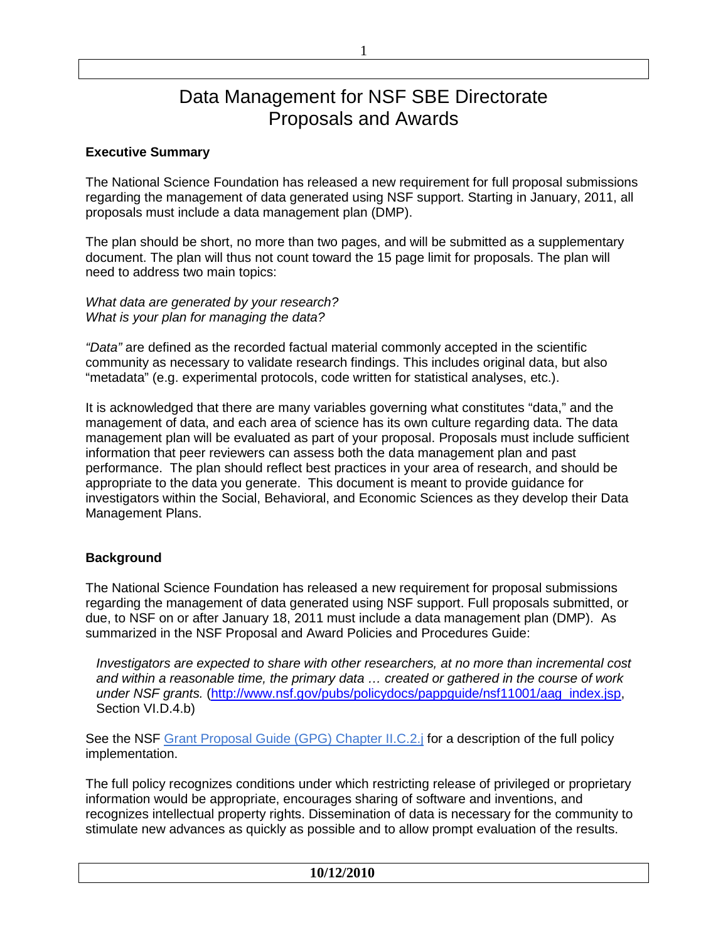# Data Management for NSF SBE Directorate Proposals and Awards

## **Executive Summary**

The National Science Foundation has released a new requirement for full proposal submissions regarding the management of data generated using NSF support. Starting in January, 2011, all proposals must include a data management plan (DMP).

The plan should be short, no more than two pages, and will be submitted as a supplementary document. The plan will thus not count toward the 15 page limit for proposals. The plan will need to address two main topics:

*What data are generated by your research? What is your plan for managing the data?*

*"Data"* are defined as the recorded factual material commonly accepted in the scientific community as necessary to validate research findings. This includes original data, but also "metadata" (e.g. experimental protocols, code written for statistical analyses, etc.).

It is acknowledged that there are many variables governing what constitutes "data," and the management of data, and each area of science has its own culture regarding data. The data management plan will be evaluated as part of your proposal. Proposals must include sufficient information that peer reviewers can assess both the data management plan and past performance. The plan should reflect best practices in your area of research, and should be appropriate to the data you generate. This document is meant to provide guidance for investigators within the Social, Behavioral, and Economic Sciences as they develop their Data Management Plans.

#### **Background**

The National Science Foundation has released a new requirement for proposal submissions regarding the management of data generated using NSF support. Full proposals submitted, or due, to NSF on or after January 18, 2011 must include a data management plan (DMP). As summarized in the NSF Proposal and Award Policies and Procedures Guide:

*Investigators are expected to share with other researchers, at no more than incremental cost and within a reasonable time, the primary data … created or gathered in the course of work under NSF grants.* [\(http://www.nsf.gov/pubs/policydocs/pappguide/nsf11001/aag\\_index.jsp,](http://www.nsf.gov/pubs/policydocs/pappguide/nsf11001/aag_index.jsp) Section VI.D.4.b)

See the NSF [Grant Proposal Guide \(GPG\) Chapter II.C.2.j](http://www.nsf.gov/pubs/policydocs/pappguide/nsf11001/gpg_2.jsp#dmp) for a description of the full policy implementation.

The full policy recognizes conditions under which restricting release of privileged or proprietary information would be appropriate, encourages sharing of software and inventions, and recognizes intellectual property rights. Dissemination of data is necessary for the community to stimulate new advances as quickly as possible and to allow prompt evaluation of the results.

**10/12/2010**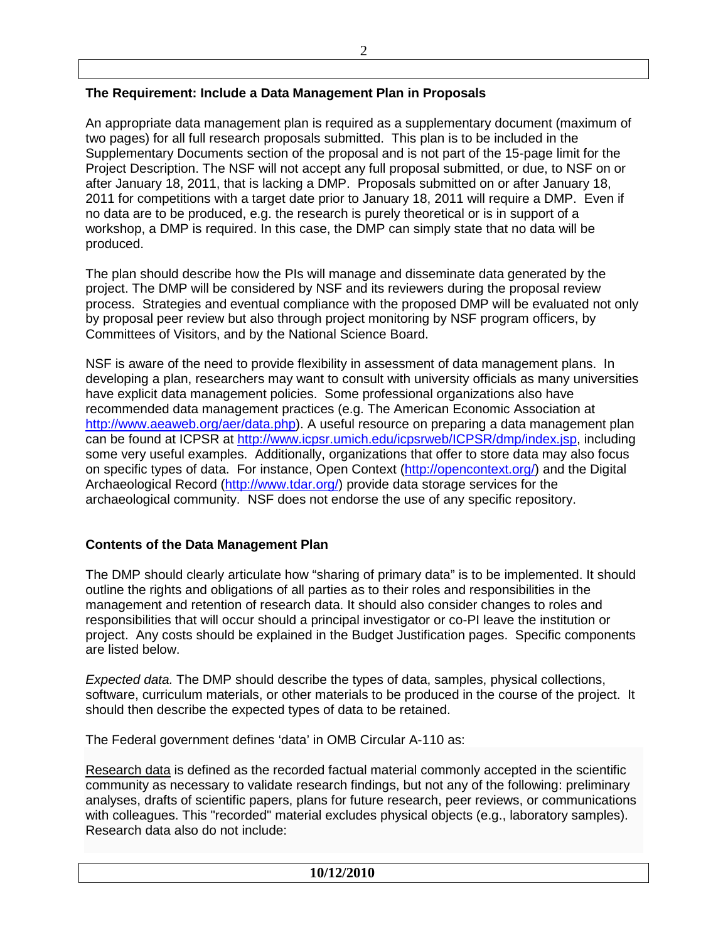# **The Requirement: Include a Data Management Plan in Proposals**

An appropriate data management plan is required as a supplementary document (maximum of two pages) for all full research proposals submitted. This plan is to be included in the Supplementary Documents section of the proposal and is not part of the 15-page limit for the Project Description. The NSF will not accept any full proposal submitted, or due, to NSF on or after January 18, 2011, that is lacking a DMP. Proposals submitted on or after January 18, 2011 for competitions with a target date prior to January 18, 2011 will require a DMP. Even if no data are to be produced, e.g. the research is purely theoretical or is in support of a workshop, a DMP is required. In this case, the DMP can simply state that no data will be produced.

The plan should describe how the PIs will manage and disseminate data generated by the project. The DMP will be considered by NSF and its reviewers during the proposal review process. Strategies and eventual compliance with the proposed DMP will be evaluated not only by proposal peer review but also through project monitoring by NSF program officers, by Committees of Visitors, and by the National Science Board.

NSF is aware of the need to provide flexibility in assessment of data management plans. In developing a plan, researchers may want to consult with university officials as many universities have explicit data management policies. Some professional organizations also have recommended data management practices (e.g. The American Economic Association at [http://www.aeaweb.org/aer/data.php\)](http://www.aeaweb.org/aer/data.php). A useful resource on preparing a data management plan can be found at ICPSR at [http://www.icpsr.umich.edu/icpsrweb/ICPSR/dmp/index.jsp,](http://www.icpsr.umich.edu/icpsrweb/ICPSR/dmp/index.jsp) including some very useful examples. Additionally, organizations that offer to store data may also focus on specific types of data. For instance, Open Context [\(http://opencontext.org/\)](http://opencontext.org/) and the Digital Archaeological Record [\(http://www.tdar.org/\)](http://www.tdar.org/) provide data storage services for the archaeological community. NSF does not endorse the use of any specific repository.

## **Contents of the Data Management Plan**

The DMP should clearly articulate how "sharing of primary data" is to be implemented. It should outline the rights and obligations of all parties as to their roles and responsibilities in the management and retention of research data. It should also consider changes to roles and responsibilities that will occur should a principal investigator or co-PI leave the institution or project. Any costs should be explained in the Budget Justification pages. Specific components are listed below.

*Expected data.* The DMP should describe the types of data, samples, physical collections, software, curriculum materials, or other materials to be produced in the course of the project. It should then describe the expected types of data to be retained.

The Federal government defines 'data' in OMB Circular A-110 as:

Research data is defined as the recorded factual material commonly accepted in the scientific community as necessary to validate research findings, but not any of the following: preliminary analyses, drafts of scientific papers, plans for future research, peer reviews, or communications with colleagues. This "recorded" material excludes physical objects (e.g., laboratory samples). Research data also do not include: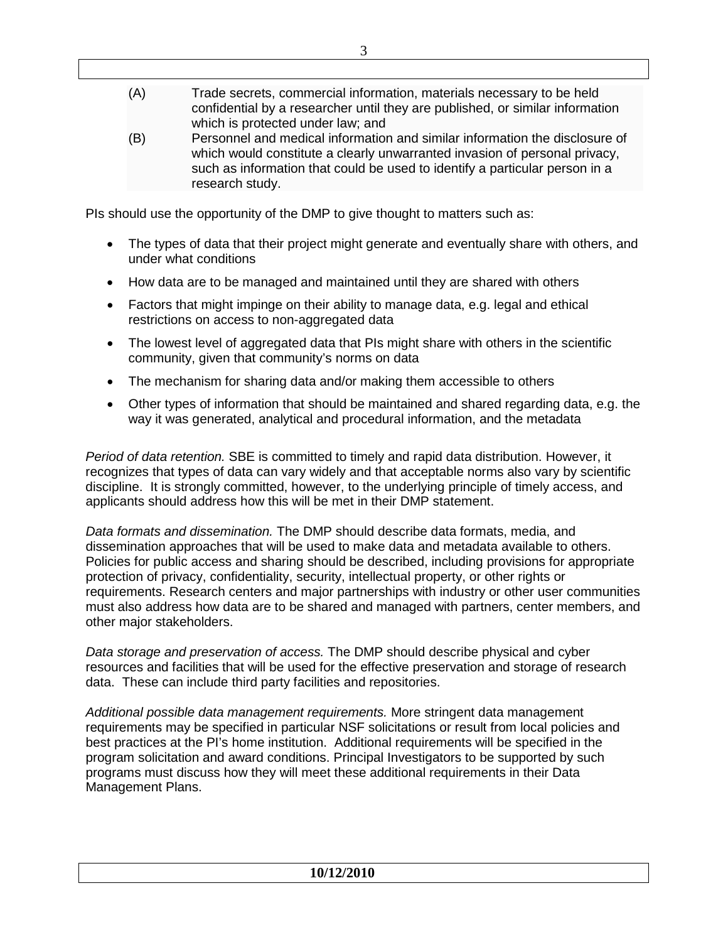- (A) Trade secrets, commercial information, materials necessary to be held confidential by a researcher until they are published, or similar information which is protected under law; and
- (B) Personnel and medical information and similar information the disclosure of which would constitute a clearly unwarranted invasion of personal privacy, such as information that could be used to identify a particular person in a research study.

PIs should use the opportunity of the DMP to give thought to matters such as:

- The types of data that their project might generate and eventually share with others, and under what conditions
- How data are to be managed and maintained until they are shared with others
- Factors that might impinge on their ability to manage data, e.g. legal and ethical restrictions on access to non-aggregated data
- The lowest level of aggregated data that PIs might share with others in the scientific community, given that community's norms on data
- The mechanism for sharing data and/or making them accessible to others
- Other types of information that should be maintained and shared regarding data, e.g. the way it was generated, analytical and procedural information, and the metadata

*Period of data retention.* SBE is committed to timely and rapid data distribution. However, it recognizes that types of data can vary widely and that acceptable norms also vary by scientific discipline. It is strongly committed, however, to the underlying principle of timely access, and applicants should address how this will be met in their DMP statement.

*Data formats and dissemination.* The DMP should describe data formats, media, and dissemination approaches that will be used to make data and metadata available to others. Policies for public access and sharing should be described, including provisions for appropriate protection of privacy, confidentiality, security, intellectual property, or other rights or requirements. Research centers and major partnerships with industry or other user communities must also address how data are to be shared and managed with partners, center members, and other major stakeholders.

*Data storage and preservation of access.* The DMP should describe physical and cyber resources and facilities that will be used for the effective preservation and storage of research data. These can include third party facilities and repositories.

*Additional possible data management requirements.* More stringent data management requirements may be specified in particular NSF solicitations or result from local policies and best practices at the PI's home institution. Additional requirements will be specified in the program solicitation and award conditions. Principal Investigators to be supported by such programs must discuss how they will meet these additional requirements in their Data Management Plans.